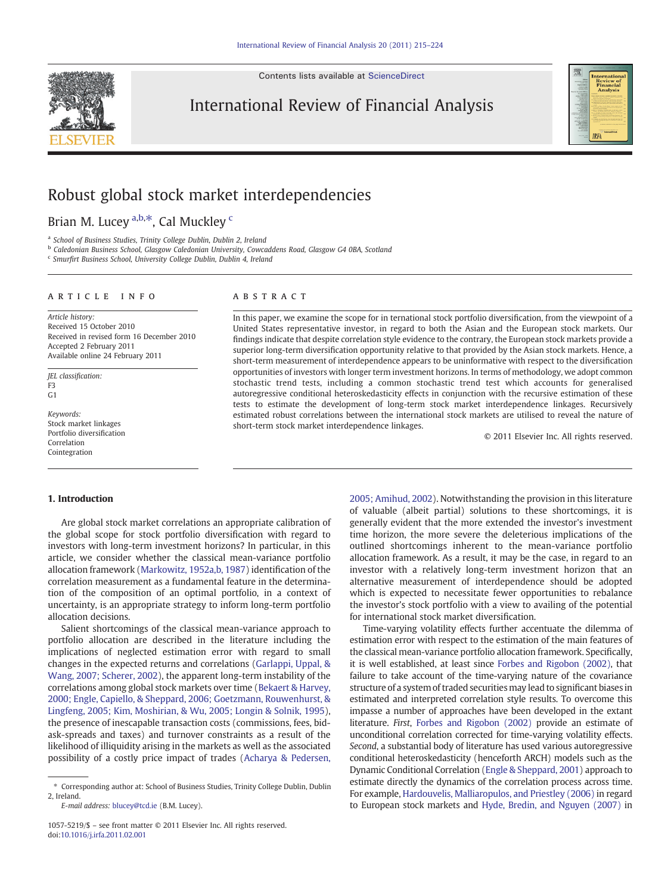Contents lists available at [ScienceDirect](http://www.sciencedirect.com/science/journal/10575219)



International Review of Financial Analysis



## Robust global stock market interdependencies

Brian M. Lucey <sup>a,b, $\ast$ </sup>, Cal Muckley <sup>c</sup>

<sup>a</sup> School of Business Studies, Trinity College Dublin, Dublin 2, Ireland

<sup>b</sup> Caledonian Business School, Glasgow Caledonian University, Cowcaddens Road, Glasgow G4 0BA, Scotland

<sup>c</sup> Smurfirt Business School, University College Dublin, Dublin 4, Ireland

### article info abstract

Article history: Received 15 October 2010 Received in revised form 16 December 2010 Accepted 2 February 2011 Available online 24 February 2011

JEL classification: F3  $C<sub>1</sub>$ 

Keywords: Stock market linkages Portfolio diversification Correlation Cointegration

In this paper, we examine the scope for in ternational stock portfolio diversification, from the viewpoint of a United States representative investor, in regard to both the Asian and the European stock markets. Our findings indicate that despite correlation style evidence to the contrary, the European stock markets provide a superior long-term diversification opportunity relative to that provided by the Asian stock markets. Hence, a short-term measurement of interdependence appears to be uninformative with respect to the diversification opportunities of investors with longer term investment horizons. In terms of methodology, we adopt common stochastic trend tests, including a common stochastic trend test which accounts for generalised autoregressive conditional heteroskedasticity effects in conjunction with the recursive estimation of these tests to estimate the development of long-term stock market interdependence linkages. Recursively estimated robust correlations between the international stock markets are utilised to reveal the nature of short-term stock market interdependence linkages.

© 2011 Elsevier Inc. All rights reserved.

### 1. Introduction

Are global stock market correlations an appropriate calibration of the global scope for stock portfolio diversification with regard to investors with long-term investment horizons? In particular, in this article, we consider whether the classical mean-variance portfolio allocation framework ([Markowitz, 1952a,b, 1987](#page--1-0)) identification of the correlation measurement as a fundamental feature in the determination of the composition of an optimal portfolio, in a context of uncertainty, is an appropriate strategy to inform long-term portfolio allocation decisions.

Salient shortcomings of the classical mean-variance approach to portfolio allocation are described in the literature including the implications of neglected estimation error with regard to small changes in the expected returns and correlations [\(Garlappi, Uppal, &](#page--1-0) [Wang, 2007; Scherer, 2002](#page--1-0)), the apparent long-term instability of the correlations among global stock markets over time [\(Bekaert & Harvey,](#page--1-0) [2000; Engle, Capiello, & Sheppard, 2006; Goetzmann, Rouwenhurst, &](#page--1-0) [Lingfeng, 2005; Kim, Moshirian, & Wu, 2005; Longin & Solnik, 1995](#page--1-0)), the presence of inescapable transaction costs (commissions, fees, bidask-spreads and taxes) and turnover constraints as a result of the likelihood of illiquidity arising in the markets as well as the associated possibility of a costly price impact of trades ([Acharya & Pedersen,](#page--1-0)

E-mail address: [blucey@tcd.ie](mailto:blucey@tcd.ie) (B.M. Lucey).

[2005; Amihud, 2002\)](#page--1-0). Notwithstanding the provision in this literature of valuable (albeit partial) solutions to these shortcomings, it is generally evident that the more extended the investor's investment time horizon, the more severe the deleterious implications of the outlined shortcomings inherent to the mean-variance portfolio allocation framework. As a result, it may be the case, in regard to an investor with a relatively long-term investment horizon that an alternative measurement of interdependence should be adopted which is expected to necessitate fewer opportunities to rebalance the investor's stock portfolio with a view to availing of the potential for international stock market diversification.

Time-varying volatility effects further accentuate the dilemma of estimation error with respect to the estimation of the main features of the classical mean-variance portfolio allocation framework. Specifically, it is well established, at least since [Forbes and Rigobon \(2002\)](#page--1-0), that failure to take account of the time-varying nature of the covariance structure of a system of traded securitiesmay lead to significant biases in estimated and interpreted correlation style results. To overcome this impasse a number of approaches have been developed in the extant literature. First, [Forbes and Rigobon \(2002\)](#page--1-0) provide an estimate of unconditional correlation corrected for time-varying volatility effects. Second, a substantial body of literature has used various autoregressive conditional heteroskedasticity (henceforth ARCH) models such as the Dynamic Conditional Correlation [\(Engle & Sheppard, 2001](#page--1-0)) approach to estimate directly the dynamics of the correlation process across time. For example, [Hardouvelis, Malliaropulos, and Priestley \(2006\)](#page--1-0) in regard to European stock markets and [Hyde, Bredin, and Nguyen \(2007\)](#page--1-0) in

<sup>⁎</sup> Corresponding author at: School of Business Studies, Trinity College Dublin, Dublin 2, Ireland.

<sup>1057-5219/\$</sup> – see front matter © 2011 Elsevier Inc. All rights reserved. doi:[10.1016/j.irfa.2011.02.001](http://dx.doi.org/10.1016/j.irfa.2011.02.001)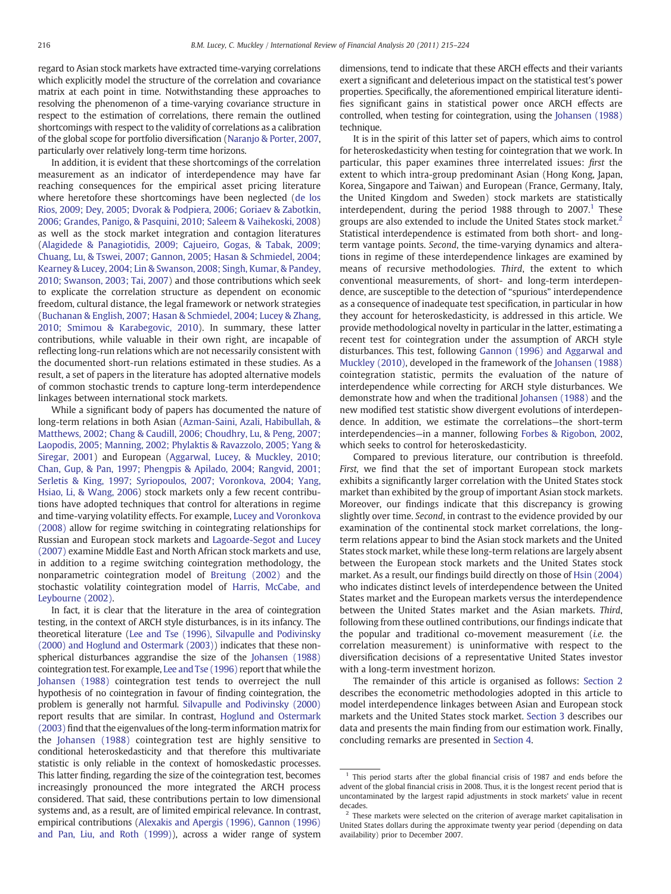regard to Asian stock markets have extracted time-varying correlations which explicitly model the structure of the correlation and covariance matrix at each point in time. Notwithstanding these approaches to resolving the phenomenon of a time-varying covariance structure in respect to the estimation of correlations, there remain the outlined shortcomings with respect to the validity of correlations as a calibration of the global scope for portfolio diversification [\(Naranjo & Porter, 2007,](#page--1-0) particularly over relatively long-term time horizons.

In addition, it is evident that these shortcomings of the correlation measurement as an indicator of interdependence may have far reaching consequences for the empirical asset pricing literature where heretofore these shortcomings have been neglected [\(de los](#page--1-0) [Rios, 2009; Dey, 2005; Dvorak & Podpiera, 2006; Goriaev & Zabotkin,](#page--1-0) [2006; Grandes, Panigo, & Pasquini, 2010; Saleem & Vaihekoski, 2008](#page--1-0)) as well as the stock market integration and contagion literatures [\(Alagidede & Panagiotidis, 2009; Cajueiro, Gogas, & Tabak, 2009;](#page--1-0) [Chuang, Lu, & Tswei, 2007; Gannon, 2005; Hasan & Schmiedel, 2004;](#page--1-0) [Kearney & Lucey, 2004; Lin & Swanson, 2008; Singh, Kumar, & Pandey,](#page--1-0) [2010; Swanson, 2003; Tai, 2007\)](#page--1-0) and those contributions which seek to explicate the correlation structure as dependent on economic freedom, cultural distance, the legal framework or network strategies [\(Buchanan & English, 2007; Hasan & Schmiedel, 2004; Lucey & Zhang,](#page--1-0) [2010; Smimou & Karabegovic, 2010\)](#page--1-0). In summary, these latter contributions, while valuable in their own right, are incapable of reflecting long-run relations which are not necessarily consistent with the documented short-run relations estimated in these studies. As a result, a set of papers in the literature has adopted alternative models of common stochastic trends to capture long-term interdependence linkages between international stock markets.

While a significant body of papers has documented the nature of long-term relations in both Asian [\(Azman-Saini, Azali, Habibullah, &](#page--1-0) [Matthews, 2002; Chang & Caudill, 2006; Choudhry, Lu, & Peng, 2007;](#page--1-0) [Laopodis, 2005; Manning, 2002; Phylaktis & Ravazzolo, 2005; Yang &](#page--1-0) [Siregar, 2001](#page--1-0)) and European ([Aggarwal, Lucey, & Muckley, 2010;](#page--1-0) [Chan, Gup, & Pan, 1997; Phengpis & Apilado, 2004; Rangvid, 2001;](#page--1-0) [Serletis & King, 1997; Syriopoulos, 2007; Voronkova, 2004; Yang,](#page--1-0) [Hsiao, Li, & Wang, 2006](#page--1-0)) stock markets only a few recent contributions have adopted techniques that control for alterations in regime and time-varying volatility effects. For example, [Lucey and Voronkova](#page--1-0) [\(2008\)](#page--1-0) allow for regime switching in cointegrating relationships for Russian and European stock markets and [Lagoarde-Segot and Lucey](#page--1-0) [\(2007\)](#page--1-0) examine Middle East and North African stock markets and use, in addition to a regime switching cointegration methodology, the nonparametric cointegration model of [Breitung \(2002\)](#page--1-0) and the stochastic volatility cointegration model of [Harris, McCabe, and](#page--1-0) [Leybourne \(2002\).](#page--1-0)

In fact, it is clear that the literature in the area of cointegration testing, in the context of ARCH style disturbances, is in its infancy. The theoretical literature [\(Lee and Tse \(1996\), Silvapulle and Podivinsky](#page--1-0) [\(2000\) and Hoglund and Ostermark \(2003\)\)](#page--1-0) indicates that these nonspherical disturbances aggrandise the size of the [Johansen \(1988\)](#page--1-0) cointegration test. For example, [Lee and Tse \(1996\)](#page--1-0) report that while the [Johansen \(1988\)](#page--1-0) cointegration test tends to overreject the null hypothesis of no cointegration in favour of finding cointegration, the problem is generally not harmful. [Silvapulle and Podivinsky \(2000\)](#page--1-0) report results that are similar. In contrast, [Hoglund and Ostermark](#page--1-0) [\(2003\)](#page--1-0) find that the eigenvalues of the long-term information matrix for the [Johansen \(1988\)](#page--1-0) cointegration test are highly sensitive to conditional heteroskedasticity and that therefore this multivariate statistic is only reliable in the context of homoskedastic processes. This latter finding, regarding the size of the cointegration test, becomes increasingly pronounced the more integrated the ARCH process considered. That said, these contributions pertain to low dimensional systems and, as a result, are of limited empirical relevance. In contrast, empirical contributions [\(Alexakis and Apergis \(1996\), Gannon \(1996\)](#page--1-0) [and Pan, Liu, and Roth \(1999\)\)](#page--1-0), across a wider range of system dimensions, tend to indicate that these ARCH effects and their variants exert a significant and deleterious impact on the statistical test's power properties. Specifically, the aforementioned empirical literature identifies significant gains in statistical power once ARCH effects are controlled, when testing for cointegration, using the [Johansen \(1988\)](#page--1-0) technique.

It is in the spirit of this latter set of papers, which aims to control for heteroskedasticity when testing for cointegration that we work. In particular, this paper examines three interrelated issues: first the extent to which intra-group predominant Asian (Hong Kong, Japan, Korea, Singapore and Taiwan) and European (France, Germany, Italy, the United Kingdom and Sweden) stock markets are statistically interdependent, during the period 1988 through to  $2007<sup>1</sup>$  These groups are also extended to include the United States stock market.<sup>2</sup> Statistical interdependence is estimated from both short- and longterm vantage points. Second, the time-varying dynamics and alterations in regime of these interdependence linkages are examined by means of recursive methodologies. Third, the extent to which conventional measurements, of short- and long-term interdependence, are susceptible to the detection of "spurious" interdependence as a consequence of inadequate test specification, in particular in how they account for heteroskedasticity, is addressed in this article. We provide methodological novelty in particular in the latter, estimating a recent test for cointegration under the assumption of ARCH style disturbances. This test, following [Gannon \(1996\) and Aggarwal and](#page--1-0) [Muckley \(2010\)](#page--1-0), developed in the framework of the [Johansen \(1988\)](#page--1-0) cointegration statistic, permits the evaluation of the nature of interdependence while correcting for ARCH style disturbances. We demonstrate how and when the traditional [Johansen \(1988\)](#page--1-0) and the new modified test statistic show divergent evolutions of interdependence. In addition, we estimate the correlations—the short-term interdependencies—in a manner, following [Forbes & Rigobon, 2002,](#page--1-0) which seeks to control for heteroskedasticity.

Compared to previous literature, our contribution is threefold. First, we find that the set of important European stock markets exhibits a significantly larger correlation with the United States stock market than exhibited by the group of important Asian stock markets. Moreover, our findings indicate that this discrepancy is growing slightly over time. Second, in contrast to the evidence provided by our examination of the continental stock market correlations, the longterm relations appear to bind the Asian stock markets and the United States stock market, while these long-term relations are largely absent between the European stock markets and the United States stock market. As a result, our findings build directly on those of [Hsin \(2004\)](#page--1-0) who indicates distinct levels of interdependence between the United States market and the European markets versus the interdependence between the United States market and the Asian markets. Third, following from these outlined contributions, our findings indicate that the popular and traditional co-movement measurement (i.e. the correlation measurement) is uninformative with respect to the diversification decisions of a representative United States investor with a long-term investment horizon.

The remainder of this article is organised as follows: [Section 2](#page--1-0) describes the econometric methodologies adopted in this article to model interdependence linkages between Asian and European stock markets and the United States stock market. [Section 3](#page--1-0) describes our data and presents the main finding from our estimation work. Finally, concluding remarks are presented in [Section 4.](#page--1-0)

<sup>&</sup>lt;sup>1</sup> This period starts after the global financial crisis of 1987 and ends before the advent of the global financial crisis in 2008. Thus, it is the longest recent period that is uncontaminated by the largest rapid adjustments in stock markets' value in recent decades.

 $2$  These markets were selected on the criterion of average market capitalisation in United States dollars during the approximate twenty year period (depending on data availability) prior to December 2007.